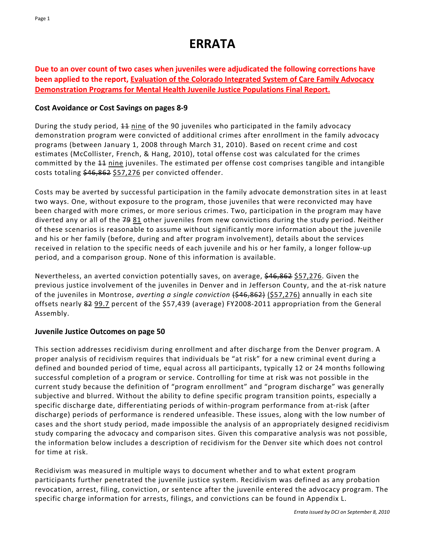# **ERRATA**

**Due to an over count of two cases when juveniles were adjudicated the following corrections have been applied to the report, Evaluation of the Colorado Integrated System of Care Family Advocacy Demonstration Programs for Mental Health Juvenile Justice Populations Final Report.**

## **Cost Avoidance or Cost Savings on pages 8‐9**

During the study period,  $\pm 1$  nine of the 90 juveniles who participated in the family advocacy demonstration program were convicted of additional crimes after enrollment in the family advocacy programs (between January 1, 2008 through March 31, 2010). Based on recent crime and cost estimates (McCollister, French, & Hang, 2010), total offense cost was calculated for the crimes committed by the 44 nine juveniles. The estimated per offense cost comprises tangible and intangible costs totaling \$46,862 \$57,276 per convicted offender.

Costs may be averted by successful participation in the family advocate demonstration sites in at least two ways. One, without exposure to the program, those juveniles that were reconvicted may have been charged with more crimes, or more serious crimes. Two, participation in the program may have diverted any or all of the 79 81 other juveniles from new convictions during the study period. Neither of these scenarios is reasonable to assume without significantly more information about the juvenile and his or her family (before, during and after program involvement), details about the services received in relation to the specific needs of each juvenile and his or her family, a longer follow-up period, and a comparison group. None of this information is available.

Nevertheless, an averted conviction potentially saves, on average, \$46,862 \$57,276. Given the previous justice involvement of the juveniles in Denver and in Jefferson County, and the at‐risk nature of the juveniles in Montrose, *averting a single conviction* (\$46,862) (\$57,276) annually in each site offsets nearly 82 99.7 percent of the \$57,439 (average) FY2008‐2011 appropriation from the General Assembly.

## **Juvenile Justice Outcomes on page 50**

This section addresses recidivism during enrollment and after discharge from the Denver program. A proper analysis of recidivism requires that individuals be "at risk" for a new criminal event during a defined and bounded period of time, equal across all participants, typically 12 or 24 months following successful completion of a program or service. Controlling for time at risk was not possible in the current study because the definition of "program enrollment" and "program discharge" was generally subjective and blurred. Without the ability to define specific program transition points, especially a specific discharge date, differentiating periods of within-program performance from at-risk (after discharge) periods of performance is rendered unfeasible. These issues, along with the low number of cases and the short study period, made impossible the analysis of an appropriately designed recidivism study comparing the advocacy and comparison sites. Given this comparative analysis was not possible, the information below includes a description of recidivism for the Denver site which does not control for time at risk.

Recidivism was measured in multiple ways to document whether and to what extent program participants further penetrated the juvenile justice system. Recidivism was defined as any probation revocation, arrest, filing, conviction, or sentence after the juvenile entered the advocacy program. The specific charge information for arrests, filings, and convictions can be found in Appendix L.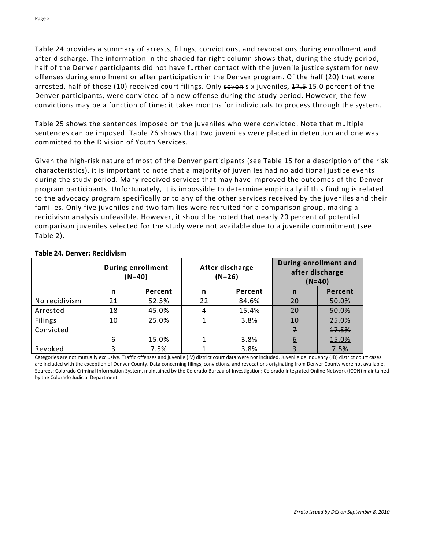Table 24 provides a summary of arrests, filings, convictions, and revocations during enrollment and after discharge. The information in the shaded far right column shows that, during the study period, half of the Denver participants did not have further contact with the juvenile justice system for new offenses during enrollment or after participation in the Denver program. Of the half (20) that were arrested, half of those (10) received court filings. Only seven six juveniles, 47.5 15.0 percent of the Denver participants, were convicted of a new offense during the study period. However, the few convictions may be a function of time: it takes months for individuals to process through the system.

Table 25 shows the sentences imposed on the juveniles who were convicted. Note that multiple sentences can be imposed. Table 26 shows that two juveniles were placed in detention and one was committed to the Division of Youth Services.

Given the high-risk nature of most of the Denver participants (see Table 15 for a description of the risk characteristics), it is important to note that a majority of juveniles had no additional justice events during the study period. Many received services that may have improved the outcomes of the Denver program participants. Unfortunately, it is impossible to determine empirically if this finding is related to the advocacy program specifically or to any of the other services received by the juveniles and their families. Only five juveniles and two families were recruited for a comparison group, making a recidivism analysis unfeasible. However, it should be noted that nearly 20 percent of potential comparison juveniles selected for the study were not available due to a juvenile commitment (see Table 2).

|               | <b>During enrollment</b><br>$(N=40)$ |         | After discharge<br>$(N=26)$ |         | During enrollment and<br>after discharge<br>$(N=40)$ |         |
|---------------|--------------------------------------|---------|-----------------------------|---------|------------------------------------------------------|---------|
|               | n                                    | Percent | n                           | Percent | n                                                    | Percent |
| No recidivism | 21                                   | 52.5%   | 22                          | 84.6%   | 20                                                   | 50.0%   |
| Arrested      | 18                                   | 45.0%   | 4                           | 15.4%   | 20                                                   | 50.0%   |
| Filings       | 10                                   | 25.0%   |                             | 3.8%    | 10                                                   | 25.0%   |
| Convicted     |                                      |         |                             |         | $\overline{f}$                                       | 17.5%   |
|               | 6                                    | 15.0%   |                             | 3.8%    | 6                                                    | 15.0%   |
| Revoked       | 3                                    | 7.5%    |                             | 3.8%    |                                                      | 7.5%    |

#### **Table 24. Denver: Recidivism**

Categories are not mutually exclusive. Traffic offenses and juvenile (JV) district court data were not included. Juvenile delinquency (JD) district court cases are included with the exception of Denver County. Data concerning filings, convictions, and revocations originating from Denver County were not available. Sources: Colorado Criminal Information System, maintained by the Colorado Bureau of Investigation; Colorado Integrated Online Network (ICON) maintained by the Colorado Judicial Department.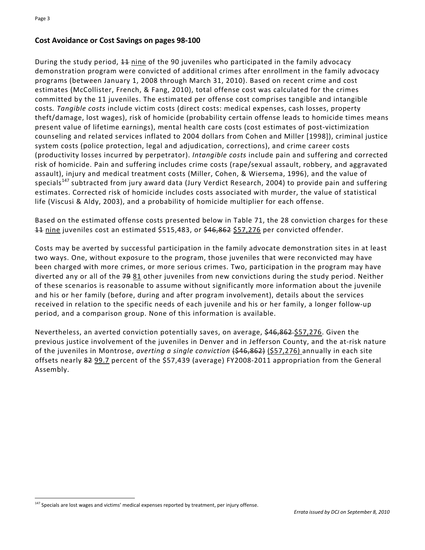$\overline{a}$ 

#### **Cost Avoidance or Cost Savings on pages 98‐100**

During the study period,  $\pm\frac{1}{2}$  nine of the 90 juveniles who participated in the family advocacy demonstration program were convicted of additional crimes after enrollment in the family advocacy programs (between January 1, 2008 through March 31, 2010). Based on recent crime and cost estimates (McCollister, French, & Fang, 2010), total offense cost was calculated for the crimes committed by the 11 juveniles. The estimated per offense cost comprises tangible and intangible costs*. Tangible costs* include victim costs (direct costs: medical expenses, cash losses, property theft/damage, lost wages), risk of homicide (probability certain offense leads to homicide times means present value of lifetime earnings), mental health care costs (cost estimates of post‐victimization counseling and related services inflated to 2004 dollars from Cohen and Miller [1998]), criminal justice system costs (police protection, legal and adjudication, corrections), and crime career costs (productivity losses incurred by perpetrator). *Intangible costs* include pain and suffering and corrected risk of homicide. Pain and suffering includes crime costs (rape/sexual assault, robbery, and aggravated assault), injury and medical treatment costs (Miller, Cohen, & Wiersema, 1996), and the value of specials<sup>147</sup> subtracted from jury award data (Jury Verdict Research, 2004) to provide pain and suffering estimates. Corrected risk of homicide includes costs associated with murder, the value of statistical life (Viscusi & Aldy, 2003), and a probability of homicide multiplier for each offense.

Based on the estimated offense costs presented below in Table 71, the 28 conviction charges for these 11 nine juveniles cost an estimated \$515,483, or \$46,862 \$57,276 per convicted offender.

Costs may be averted by successful participation in the family advocate demonstration sites in at least two ways. One, without exposure to the program, those juveniles that were reconvicted may have been charged with more crimes, or more serious crimes. Two, participation in the program may have diverted any or all of the 79 81 other juveniles from new convictions during the study period. Neither of these scenarios is reasonable to assume without significantly more information about the juvenile and his or her family (before, during and after program involvement), details about the services received in relation to the specific needs of each juvenile and his or her family, a longer follow-up period, and a comparison group. None of this information is available.

Nevertheless, an averted conviction potentially saves, on average, \$46,862 \$57,276. Given the previous justice involvement of the juveniles in Denver and in Jefferson County, and the at‐risk nature of the juveniles in Montrose, *averting a single conviction* (\$46,862) (\$57,276) annually in each site offsets nearly 82 99.7 percent of the \$57,439 (average) FY2008‐2011 appropriation from the General Assembly.

 $147$  Specials are lost wages and victims' medical expenses reported by treatment, per injury offense.